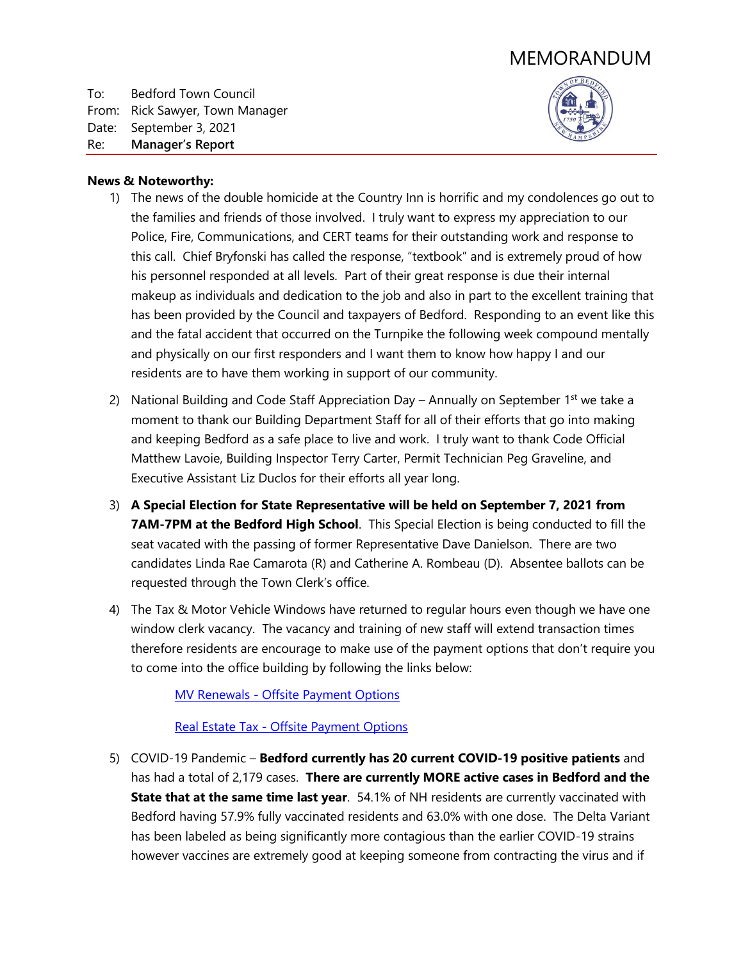# MEMORANDUM

To: Bedford Town Council From: Rick Sawyer, Town Manager Date: September 3, 2021 Re: **Manager's Report**



### **News & Noteworthy:**

- 1) The news of the double homicide at the Country Inn is horrific and my condolences go out to the families and friends of those involved. I truly want to express my appreciation to our Police, Fire, Communications, and CERT teams for their outstanding work and response to this call. Chief Bryfonski has called the response, "textbook" and is extremely proud of how his personnel responded at all levels. Part of their great response is due their internal makeup as individuals and dedication to the job and also in part to the excellent training that has been provided by the Council and taxpayers of Bedford. Responding to an event like this and the fatal accident that occurred on the Turnpike the following week compound mentally and physically on our first responders and I want them to know how happy I and our residents are to have them working in support of our community.
- 2) National Building and Code Staff Appreciation Day Annually on September  $1^{st}$  we take a moment to thank our Building Department Staff for all of their efforts that go into making and keeping Bedford as a safe place to live and work. I truly want to thank Code Official Matthew Lavoie, Building Inspector Terry Carter, Permit Technician Peg Graveline, and Executive Assistant Liz Duclos for their efforts all year long.
- 3) **A Special Election for State Representative will be held on September 7, 2021 from 7AM-7PM at the Bedford High School**. This Special Election is being conducted to fill the seat vacated with the passing of former Representative Dave Danielson. There are two candidates Linda Rae Camarota (R) and Catherine A. Rombeau (D). Absentee ballots can be requested through the Town Clerk's office.
- 4) The Tax & Motor Vehicle Windows have returned to regular hours even though we have one window clerk vacancy. The vacancy and training of new staff will extend transaction times therefore residents are encourage to make use of the payment options that don't require you to come into the office building by following the links below:

MV Renewals - [Offsite Payment Options](https://www.bedfordnh.org/DocumentCenter/View/4470/MV-Renewals---Offsite-Payment-Options)

### Real Estate Tax - [Offsite Payment Options](https://www.bedfordnh.org/DocumentCenter/View/4518/Real-Estate-Tax---Offsite-Payment-Options)

5) COVID-19 Pandemic – **Bedford currently has 20 current COVID-19 positive patients** and has had a total of 2,179 cases. **There are currently MORE active cases in Bedford and the State that at the same time last year**. 54.1% of NH residents are currently vaccinated with Bedford having 57.9% fully vaccinated residents and 63.0% with one dose. The Delta Variant has been labeled as being significantly more contagious than the earlier COVID-19 strains however vaccines are extremely good at keeping someone from contracting the virus and if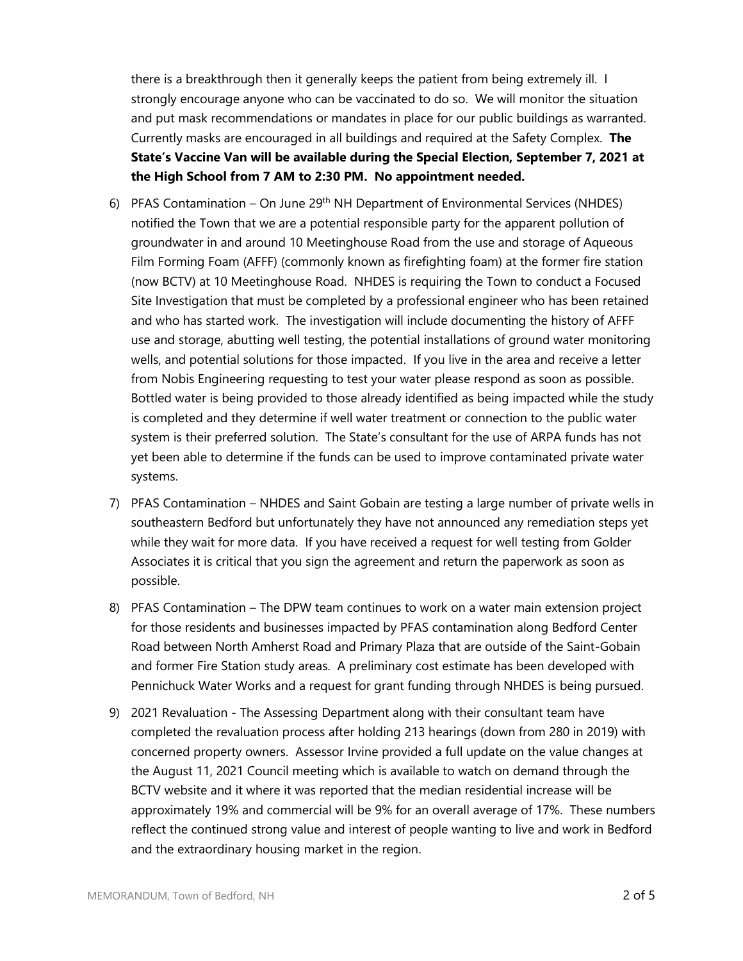there is a breakthrough then it generally keeps the patient from being extremely ill. I strongly encourage anyone who can be vaccinated to do so. We will monitor the situation and put mask recommendations or mandates in place for our public buildings as warranted. Currently masks are encouraged in all buildings and required at the Safety Complex. **The State's Vaccine Van will be available during the Special Election, September 7, 2021 at the High School from 7 AM to 2:30 PM. No appointment needed.**

- 6) PFAS Contamination On June 29<sup>th</sup> NH Department of Environmental Services (NHDES) notified the Town that we are a potential responsible party for the apparent pollution of groundwater in and around 10 Meetinghouse Road from the use and storage of Aqueous Film Forming Foam (AFFF) (commonly known as firefighting foam) at the former fire station (now BCTV) at 10 Meetinghouse Road. NHDES is requiring the Town to conduct a Focused Site Investigation that must be completed by a professional engineer who has been retained and who has started work. The investigation will include documenting the history of AFFF use and storage, abutting well testing, the potential installations of ground water monitoring wells, and potential solutions for those impacted. If you live in the area and receive a letter from Nobis Engineering requesting to test your water please respond as soon as possible. Bottled water is being provided to those already identified as being impacted while the study is completed and they determine if well water treatment or connection to the public water system is their preferred solution. The State's consultant for the use of ARPA funds has not yet been able to determine if the funds can be used to improve contaminated private water systems.
- 7) PFAS Contamination NHDES and Saint Gobain are testing a large number of private wells in southeastern Bedford but unfortunately they have not announced any remediation steps yet while they wait for more data. If you have received a request for well testing from Golder Associates it is critical that you sign the agreement and return the paperwork as soon as possible.
- 8) PFAS Contamination The DPW team continues to work on a water main extension project for those residents and businesses impacted by PFAS contamination along Bedford Center Road between North Amherst Road and Primary Plaza that are outside of the Saint-Gobain and former Fire Station study areas. A preliminary cost estimate has been developed with Pennichuck Water Works and a request for grant funding through NHDES is being pursued.
- 9) 2021 Revaluation The Assessing Department along with their consultant team have completed the revaluation process after holding 213 hearings (down from 280 in 2019) with concerned property owners. Assessor Irvine provided a full update on the value changes at the August 11, 2021 Council meeting which is available to watch on demand through the BCTV website and it where it was reported that the median residential increase will be approximately 19% and commercial will be 9% for an overall average of 17%. These numbers reflect the continued strong value and interest of people wanting to live and work in Bedford and the extraordinary housing market in the region.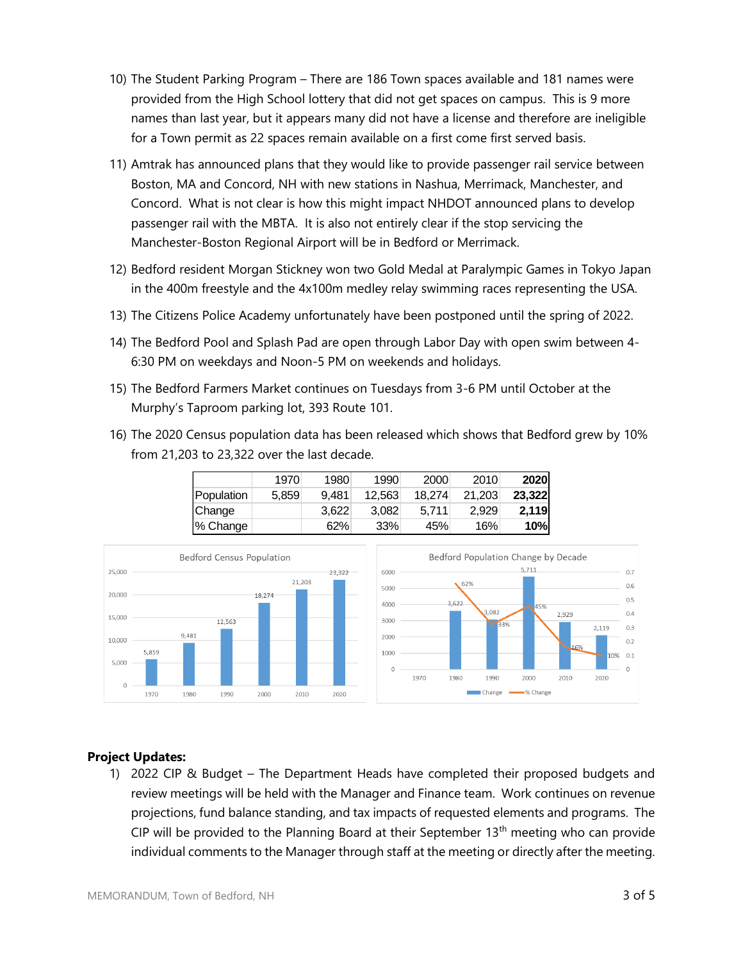- 10) The Student Parking Program There are 186 Town spaces available and 181 names were provided from the High School lottery that did not get spaces on campus. This is 9 more names than last year, but it appears many did not have a license and therefore are ineligible for a Town permit as 22 spaces remain available on a first come first served basis.
- 11) Amtrak has announced plans that they would like to provide passenger rail service between Boston, MA and Concord, NH with new stations in Nashua, Merrimack, Manchester, and Concord. What is not clear is how this might impact NHDOT announced plans to develop passenger rail with the MBTA. It is also not entirely clear if the stop servicing the Manchester-Boston Regional Airport will be in Bedford or Merrimack.
- 12) Bedford resident Morgan Stickney won two Gold Medal at Paralympic Games in Tokyo Japan in the 400m freestyle and the 4x100m medley relay swimming races representing the USA.
- 13) The Citizens Police Academy unfortunately have been postponed until the spring of 2022.
- 14) The Bedford Pool and Splash Pad are open through Labor Day with open swim between 4- 6:30 PM on weekdays and Noon-5 PM on weekends and holidays.
- 15) The Bedford Farmers Market continues on Tuesdays from 3-6 PM until October at the Murphy's Taproom parking lot, 393 Route 101.
- 16) The 2020 Census population data has been released which shows that Bedford grew by 10% from 21,203 to 23,322 over the last decade.

|            | 1970  | 1980  | 1990   | 2000   | 2010   | 2020   |
|------------|-------|-------|--------|--------|--------|--------|
| Population | 5,859 | 9.481 | 12,563 | 18.274 | 21,203 | 23,322 |
| Change     |       | 3.622 | 3.082  | 5.711  | 2,929  | 2,119  |
| % Change   |       | 62%   | 33%    | 45%    | 16%⊧   | 10%    |



# **Project Updates:**

1) 2022 CIP & Budget – The Department Heads have completed their proposed budgets and review meetings will be held with the Manager and Finance team. Work continues on revenue projections, fund balance standing, and tax impacts of requested elements and programs. The CIP will be provided to the Planning Board at their September 13<sup>th</sup> meeting who can provide individual comments to the Manager through staff at the meeting or directly after the meeting.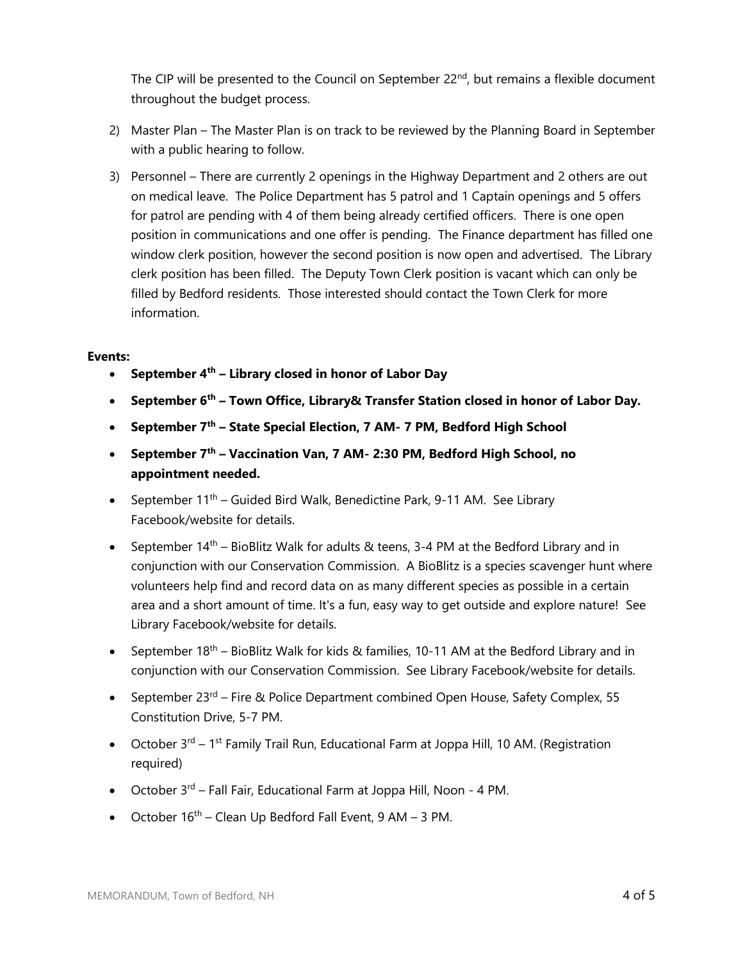The CIP will be presented to the Council on September 22<sup>nd</sup>, but remains a flexible document throughout the budget process.

- 2) Master Plan The Master Plan is on track to be reviewed by the Planning Board in September with a public hearing to follow.
- 3) Personnel There are currently 2 openings in the Highway Department and 2 others are out on medical leave. The Police Department has 5 patrol and 1 Captain openings and 5 offers for patrol are pending with 4 of them being already certified officers. There is one open position in communications and one offer is pending. The Finance department has filled one window clerk position, however the second position is now open and advertised. The Library clerk position has been filled. The Deputy Town Clerk position is vacant which can only be filled by Bedford residents. Those interested should contact the Town Clerk for more information.

## **Events:**

- **September 4th – Library closed in honor of Labor Day**
- **September 6th – Town Office, Library& Transfer Station closed in honor of Labor Day.**
- **September 7th – State Special Election, 7 AM- 7 PM, Bedford High School**
- **September 7th – Vaccination Van, 7 AM- 2:30 PM, Bedford High School, no appointment needed.**
- September  $11<sup>th</sup>$  Guided Bird Walk, Benedictine Park, 9-11 AM. See Library Facebook/website for details.
- September  $14<sup>th</sup>$  BioBlitz Walk for adults & teens, 3-4 PM at the Bedford Library and in conjunction with our Conservation Commission. A BioBlitz is a species scavenger hunt where volunteers help find and record data on as many different species as possible in a certain area and a short amount of time. It's a fun, easy way to get outside and explore nature! See Library Facebook/website for details.
- September  $18<sup>th</sup>$  BioBlitz Walk for kids & families, 10-11 AM at the Bedford Library and in conjunction with our Conservation Commission. See Library Facebook/website for details.
- September 23<sup>rd</sup> Fire & Police Department combined Open House, Safety Complex, 55 Constitution Drive, 5-7 PM.
- October  $3<sup>rd</sup> 1<sup>st</sup>$  Family Trail Run, Educational Farm at Joppa Hill, 10 AM. (Registration required)
- $\bullet$  October 3<sup>rd</sup> Fall Fair, Educational Farm at Joppa Hill, Noon 4 PM.
- October  $16<sup>th</sup>$  Clean Up Bedford Fall Event, 9 AM 3 PM.